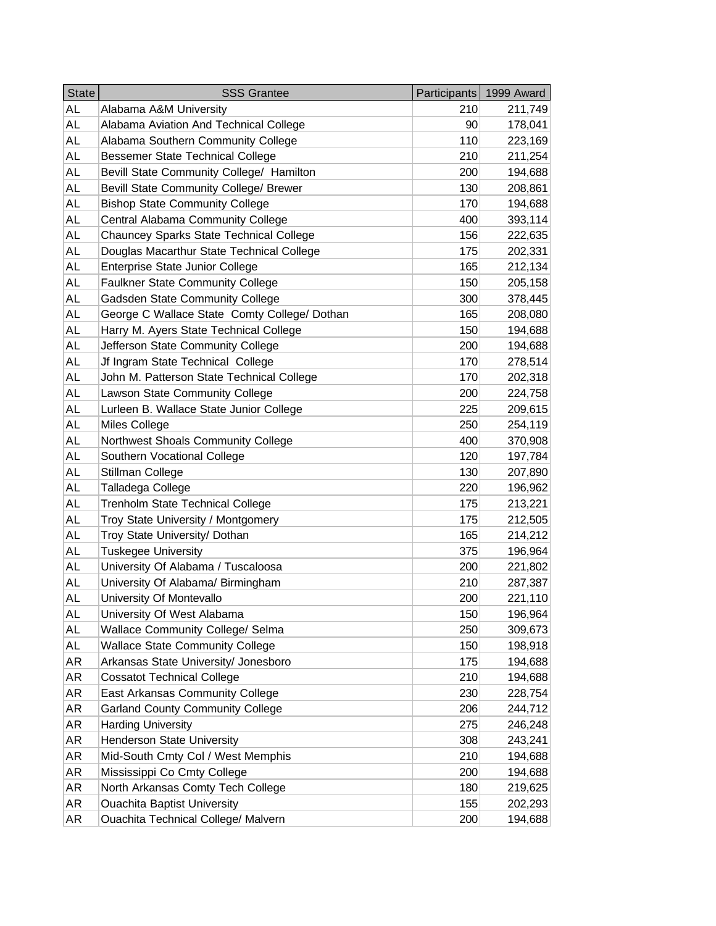| <b>State</b> | <b>SSS Grantee</b>                           | Participants | 1999 Award |
|--------------|----------------------------------------------|--------------|------------|
| AL           | Alabama A&M University                       | 210          | 211,749    |
| AL           | Alabama Aviation And Technical College       | 90           | 178,041    |
| AL           | Alabama Southern Community College           | 110          | 223,169    |
| AL           | <b>Bessemer State Technical College</b>      | 210          | 211,254    |
| <b>AL</b>    | Bevill State Community College/ Hamilton     | 200          | 194,688    |
| AL           | Bevill State Community College/ Brewer       | 130          | 208,861    |
| AL           | <b>Bishop State Community College</b>        | 170          | 194,688    |
| AL           | Central Alabama Community College            | 400          | 393,114    |
| <b>AL</b>    | Chauncey Sparks State Technical College      | 156          | 222,635    |
| AL           | Douglas Macarthur State Technical College    | 175          | 202,331    |
| AL           | Enterprise State Junior College              | 165          | 212,134    |
| AL           | Faulkner State Community College             | 150          | 205,158    |
| <b>AL</b>    | Gadsden State Community College              | 300          | 378,445    |
| AL           | George C Wallace State Comty College/ Dothan | 165          | 208,080    |
| AL           | Harry M. Ayers State Technical College       | 150          | 194,688    |
| AL           | Jefferson State Community College            | 200          | 194,688    |
| <b>AL</b>    | Jf Ingram State Technical College            | 170          | 278,514    |
| AL           | John M. Patterson State Technical College    | 170          | 202,318    |
| AL           | Lawson State Community College               | 200          | 224,758    |
| AL           | Lurleen B. Wallace State Junior College      | 225          | 209,615    |
| <b>AL</b>    | Miles College                                | 250          | 254,119    |
| AL           | Northwest Shoals Community College           | 400          | 370,908    |
| AL           | Southern Vocational College                  | 120          | 197,784    |
| AL           | Stillman College                             | 130          | 207,890    |
| AL           | Talladega College                            | 220          | 196,962    |
| AL           | <b>Trenholm State Technical College</b>      | 175          | 213,221    |
| AL           | Troy State University / Montgomery           | 175          | 212,505    |
| AL           | Troy State University/ Dothan                | 165          | 214,212    |
| <b>AL</b>    | <b>Tuskegee University</b>                   | 375          | 196,964    |
| AL           | University Of Alabama / Tuscaloosa           | 200          | 221,802    |
| AL           | University Of Alabama/ Birmingham            | 210          | 287,387    |
| AL           | University Of Montevallo                     | 200          | 221,110    |
| AL           | University Of West Alabama                   | 150          | 196,964    |
| AL           | <b>Wallace Community College/ Selma</b>      | 250          | 309,673    |
| AL           | <b>Wallace State Community College</b>       | 150          | 198,918    |
| AR           | Arkansas State University/ Jonesboro         | 175          | 194,688    |
| AR           | <b>Cossatot Technical College</b>            | 210          | 194,688    |
| AR           | East Arkansas Community College              | 230          | 228,754    |
| AR           | <b>Garland County Community College</b>      | 206          | 244,712    |
| AR           | <b>Harding University</b>                    | 275          | 246,248    |
| AR           | <b>Henderson State University</b>            | 308          | 243,241    |
| AR           | Mid-South Cmty Col / West Memphis            | 210          | 194,688    |
| AR           | Mississippi Co Cmty College                  | 200          | 194,688    |
| AR           | North Arkansas Comty Tech College            | 180          | 219,625    |
| AR           | <b>Ouachita Baptist University</b>           | 155          | 202,293    |
| AR           | <b>Ouachita Technical College/ Malvern</b>   | 200          | 194,688    |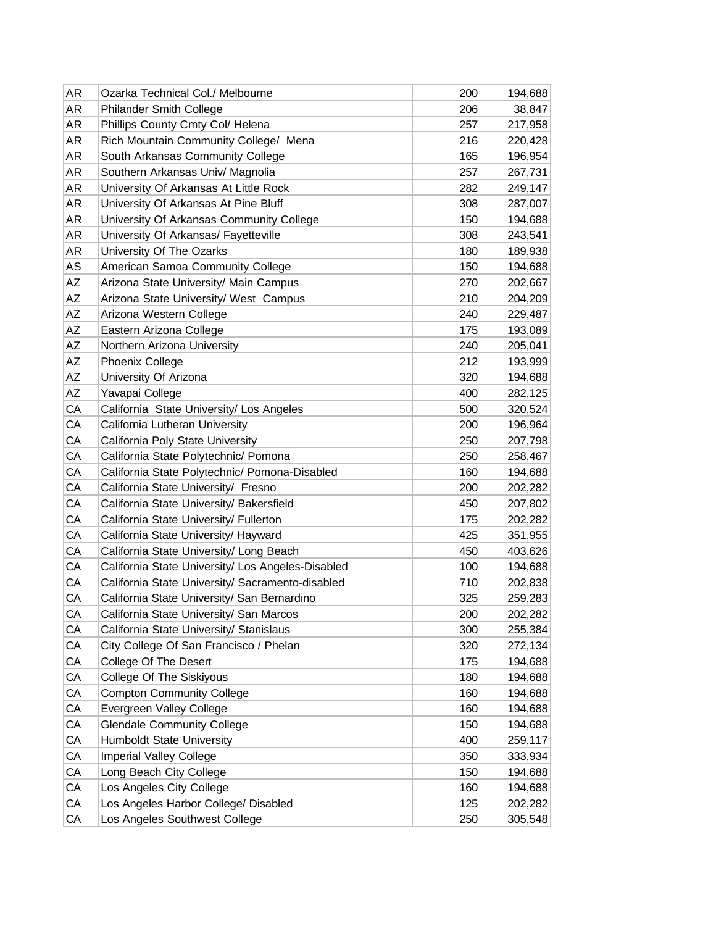| AR                     | Ozarka Technical Col./ Melbourne                  | 200 | 194,688 |
|------------------------|---------------------------------------------------|-----|---------|
| <b>AR</b>              | <b>Philander Smith College</b>                    | 206 | 38,847  |
| AR                     | Phillips County Cmty Col/ Helena                  | 257 | 217,958 |
| AR                     | Rich Mountain Community College/ Mena             | 216 | 220,428 |
| AR                     | South Arkansas Community College                  | 165 | 196,954 |
| AR                     | Southern Arkansas Univ/ Magnolia                  | 257 | 267,731 |
| AR                     | University Of Arkansas At Little Rock             | 282 | 249,147 |
| AR                     | University Of Arkansas At Pine Bluff              | 308 | 287,007 |
| AR                     | University Of Arkansas Community College          | 150 | 194,688 |
| AR                     | University Of Arkansas/ Fayetteville              | 308 | 243,541 |
| AR                     | University Of The Ozarks                          | 180 | 189,938 |
| AS                     | American Samoa Community College                  | 150 | 194,688 |
| AΖ                     | Arizona State University/ Main Campus             | 270 | 202,667 |
| AZ                     | Arizona State University/ West Campus             | 210 | 204,209 |
| AZ                     | Arizona Western College                           | 240 | 229,487 |
| $\mathsf{A}\mathsf{Z}$ | Eastern Arizona College                           | 175 | 193,089 |
| AZ                     | Northern Arizona University                       | 240 | 205,041 |
| AZ                     | <b>Phoenix College</b>                            | 212 | 193,999 |
| AZ                     | University Of Arizona                             | 320 | 194,688 |
| AZ                     | Yavapai College                                   | 400 | 282,125 |
| CA                     | California State University/ Los Angeles          | 500 | 320,524 |
| CA                     | California Lutheran University                    | 200 | 196,964 |
| CA                     | California Poly State University                  | 250 | 207,798 |
| CA                     | California State Polytechnic/ Pomona              | 250 | 258,467 |
| CA                     | California State Polytechnic/ Pomona-Disabled     | 160 | 194,688 |
| CA                     | California State University/ Fresno               | 200 | 202,282 |
| CA                     | California State University/ Bakersfield          | 450 | 207,802 |
| CA                     | California State University/ Fullerton            | 175 | 202,282 |
| CA                     | California State University/ Hayward              | 425 | 351,955 |
| CA                     | California State University/ Long Beach           | 450 | 403,626 |
| CA                     | California State University/ Los Angeles-Disabled | 100 | 194,688 |
| CA                     | California State University/ Sacramento-disabled  | 710 | 202,838 |
| CA                     | California State University/ San Bernardino       | 325 | 259,283 |
| CA                     | California State University/ San Marcos           | 200 | 202,282 |
| CA                     | California State University/ Stanislaus           | 300 | 255,384 |
| СA                     | City College Of San Francisco / Phelan            | 320 | 272,134 |
| СA                     | College Of The Desert                             | 175 | 194,688 |
| СA                     | College Of The Siskiyous                          | 180 | 194,688 |
| CA                     | <b>Compton Community College</b>                  | 160 | 194,688 |
| CA                     | Evergreen Valley College                          | 160 | 194,688 |
| CA                     | <b>Glendale Community College</b>                 | 150 | 194,688 |
| СA                     | Humboldt State University                         | 400 | 259,117 |
| CA                     | Imperial Valley College                           | 350 | 333,934 |
| CA                     | Long Beach City College                           | 150 | 194,688 |
| CA                     | Los Angeles City College                          | 160 | 194,688 |
| CA                     | Los Angeles Harbor College/ Disabled              | 125 | 202,282 |
| СA                     | Los Angeles Southwest College                     | 250 | 305,548 |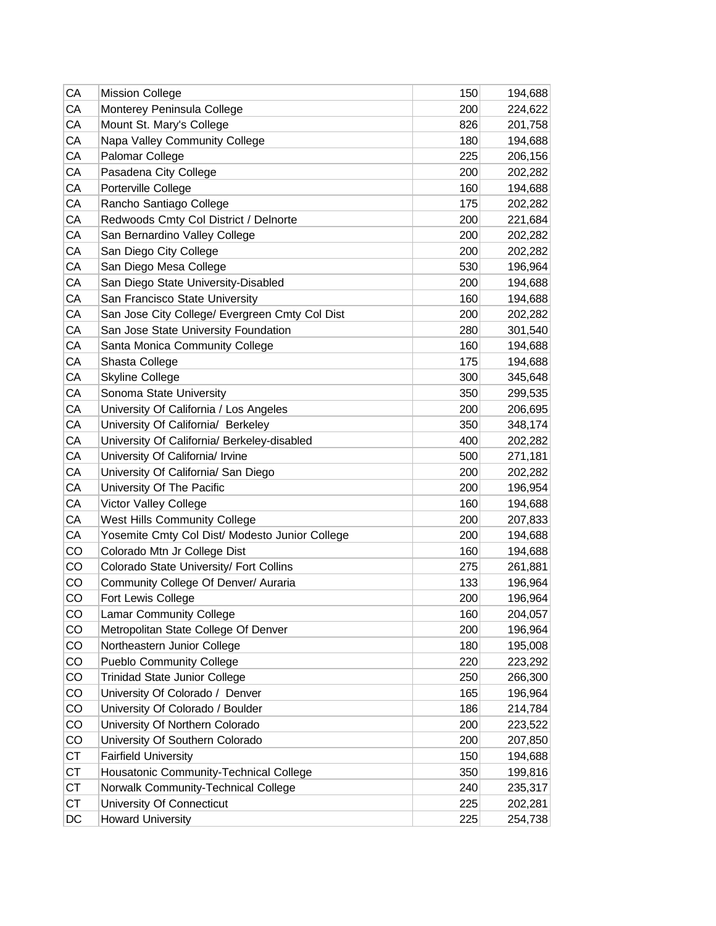| CA        | <b>Mission College</b>                         | 150 | 194,688 |
|-----------|------------------------------------------------|-----|---------|
| CA        | Monterey Peninsula College                     | 200 | 224,622 |
| CA        | Mount St. Mary's College                       | 826 | 201,758 |
| CA        | Napa Valley Community College                  | 180 | 194,688 |
| CA        | Palomar College                                | 225 | 206,156 |
| CA        | Pasadena City College                          | 200 | 202,282 |
| CA        | Porterville College                            | 160 | 194,688 |
| CA        | Rancho Santiago College                        | 175 | 202,282 |
| CA        | Redwoods Cmty Col District / Delnorte          | 200 | 221,684 |
| CA        | San Bernardino Valley College                  | 200 | 202,282 |
| CA        | San Diego City College                         | 200 | 202,282 |
| CA        | San Diego Mesa College                         | 530 | 196,964 |
| CA        | San Diego State University-Disabled            | 200 | 194,688 |
| CA        | San Francisco State University                 | 160 | 194,688 |
| CA        | San Jose City College/ Evergreen Cmty Col Dist | 200 | 202,282 |
| CA        | San Jose State University Foundation           | 280 | 301,540 |
| CA        | Santa Monica Community College                 | 160 | 194,688 |
| CA        | Shasta College                                 | 175 | 194,688 |
| CA        | <b>Skyline College</b>                         | 300 | 345,648 |
| CA        | Sonoma State University                        | 350 | 299,535 |
| CA        | University Of California / Los Angeles         | 200 | 206,695 |
| CA        | University Of California/ Berkeley             | 350 | 348,174 |
| CA        | University Of California/ Berkeley-disabled    | 400 | 202,282 |
| CA        | University Of California/ Irvine               | 500 | 271,181 |
| CA        | University Of California/ San Diego            | 200 | 202,282 |
| CA        | University Of The Pacific                      | 200 | 196,954 |
| CA        | Victor Valley College                          | 160 | 194,688 |
| CA        | <b>West Hills Community College</b>            | 200 | 207,833 |
| CA        | Yosemite Cmty Col Dist/ Modesto Junior College | 200 | 194,688 |
| CO        | Colorado Mtn Jr College Dist                   | 160 | 194,688 |
| CO        | Colorado State University/ Fort Collins        | 275 | 261,881 |
| CO        | Community College Of Denver/ Auraria           | 133 | 196,964 |
| CO        | Fort Lewis College                             | 200 | 196,964 |
| CO        | <b>Lamar Community College</b>                 | 160 | 204,057 |
| CO        | Metropolitan State College Of Denver           | 200 | 196,964 |
| CO        | Northeastern Junior College                    | 180 | 195,008 |
| CO        | <b>Pueblo Community College</b>                | 220 | 223,292 |
| CO        | <b>Trinidad State Junior College</b>           | 250 | 266,300 |
| CO        | University Of Colorado / Denver                | 165 | 196,964 |
| CO        | University Of Colorado / Boulder               | 186 | 214,784 |
| CO        | University Of Northern Colorado                | 200 | 223,522 |
| CO        | University Of Southern Colorado                | 200 | 207,850 |
| <b>CT</b> | <b>Fairfield University</b>                    | 150 | 194,688 |
| <b>CT</b> | Housatonic Community-Technical College         | 350 | 199,816 |
| <b>CT</b> | Norwalk Community-Technical College            | 240 | 235,317 |
| <b>CT</b> | University Of Connecticut                      | 225 | 202,281 |
| DC        | <b>Howard University</b>                       | 225 | 254,738 |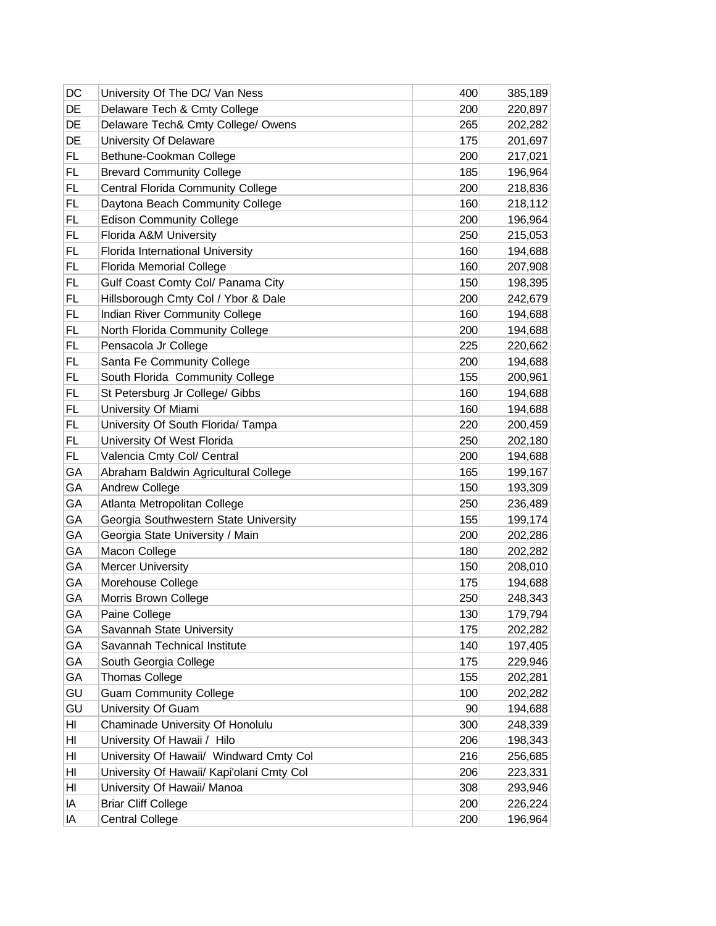| DC        | University Of The DC/ Van Ness            | 400 | 385,189 |
|-----------|-------------------------------------------|-----|---------|
| DE        | Delaware Tech & Cmty College              | 200 | 220,897 |
| DE        | Delaware Tech& Cmty College/ Owens        | 265 | 202,282 |
| DE        | University Of Delaware                    | 175 | 201,697 |
| <b>FL</b> | Bethune-Cookman College                   | 200 | 217,021 |
| FL        | <b>Brevard Community College</b>          | 185 | 196,964 |
| <b>FL</b> | Central Florida Community College         | 200 | 218,836 |
| <b>FL</b> | Daytona Beach Community College           | 160 | 218,112 |
| FL        | <b>Edison Community College</b>           | 200 | 196,964 |
| FL        | Florida A&M University                    | 250 | 215,053 |
| <b>FL</b> | Florida International University          | 160 | 194,688 |
| FL        | Florida Memorial College                  | 160 | 207,908 |
| <b>FL</b> | Gulf Coast Comty Col/ Panama City         | 150 | 198,395 |
| <b>FL</b> | Hillsborough Cmty Col / Ybor & Dale       | 200 | 242,679 |
| <b>FL</b> | Indian River Community College            | 160 | 194,688 |
| <b>FL</b> | North Florida Community College           | 200 | 194,688 |
| FL        | Pensacola Jr College                      | 225 | 220,662 |
| FL        | Santa Fe Community College                | 200 | 194,688 |
| <b>FL</b> | South Florida Community College           | 155 | 200,961 |
| FL        | St Petersburg Jr College/ Gibbs           | 160 | 194,688 |
| <b>FL</b> | University Of Miami                       | 160 | 194,688 |
| FL        | University Of South Florida/ Tampa        | 220 | 200,459 |
| <b>FL</b> | University Of West Florida                | 250 | 202,180 |
| FL.       | Valencia Cmty Col/ Central                | 200 | 194,688 |
| GA        | Abraham Baldwin Agricultural College      | 165 | 199,167 |
| GА        | <b>Andrew College</b>                     | 150 | 193,309 |
| GA        | Atlanta Metropolitan College              | 250 | 236,489 |
| GA        | Georgia Southwestern State University     | 155 | 199,174 |
| GA        | Georgia State University / Main           | 200 | 202,286 |
| GА        | Macon College                             | 180 | 202,282 |
| GA        | <b>Mercer University</b>                  | 150 | 208,010 |
| GA        | Morehouse College                         | 175 | 194,688 |
| GA        | Morris Brown College                      | 250 | 248,343 |
| GА        | Paine College                             | 130 | 179,794 |
| GA        | Savannah State University                 | 175 | 202,282 |
| GА        | Savannah Technical Institute              | 140 | 197,405 |
| GA        | South Georgia College                     | 175 | 229,946 |
| GА        | <b>Thomas College</b>                     | 155 | 202,281 |
| GU        | <b>Guam Community College</b>             | 100 | 202,282 |
| GU        | University Of Guam                        | 90  | 194,688 |
| HI        | Chaminade University Of Honolulu          | 300 | 248,339 |
| HI        | University Of Hawaii / Hilo               | 206 | 198,343 |
| HI        | University Of Hawaii/ Windward Cmty Col   | 216 | 256,685 |
| HI        | University Of Hawaii/ Kapi'olani Cmty Col | 206 | 223,331 |
| HI        | University Of Hawaii/ Manoa               | 308 | 293,946 |
| IA        | <b>Briar Cliff College</b>                | 200 | 226,224 |
| IA        | <b>Central College</b>                    | 200 | 196,964 |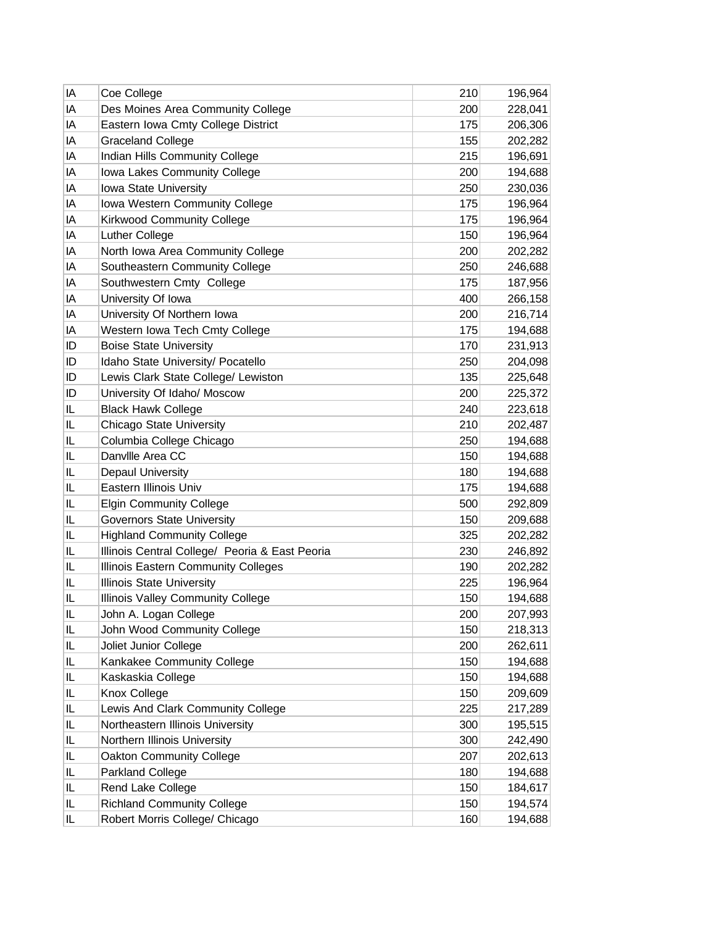| IA | Coe College                                    | 210 | 196,964 |
|----|------------------------------------------------|-----|---------|
| IA | Des Moines Area Community College              | 200 | 228,041 |
| IA | Eastern Iowa Cmty College District             | 175 | 206,306 |
| IA | <b>Graceland College</b>                       | 155 | 202,282 |
| IA | Indian Hills Community College                 | 215 | 196,691 |
| IA | Iowa Lakes Community College                   | 200 | 194,688 |
| IA | Iowa State University                          | 250 | 230,036 |
| IA | Iowa Western Community College                 | 175 | 196,964 |
| IA | <b>Kirkwood Community College</b>              | 175 | 196,964 |
| IA | Luther College                                 | 150 | 196,964 |
| IA | North Iowa Area Community College              | 200 | 202,282 |
| IA | Southeastern Community College                 | 250 | 246,688 |
| IA | Southwestern Cmty College                      | 175 | 187,956 |
| IA | University Of Iowa                             | 400 | 266,158 |
| IA | University Of Northern Iowa                    | 200 | 216,714 |
| IA | Western Iowa Tech Cmty College                 | 175 | 194,688 |
| ID | <b>Boise State University</b>                  | 170 | 231,913 |
| ID | Idaho State University/ Pocatello              | 250 | 204,098 |
| ID | Lewis Clark State College/ Lewiston            | 135 | 225,648 |
| ID | University Of Idaho/ Moscow                    | 200 | 225,372 |
| IL | <b>Black Hawk College</b>                      | 240 | 223,618 |
| IL | Chicago State University                       | 210 | 202,487 |
| IL | Columbia College Chicago                       | 250 | 194,688 |
| IL | Danville Area CC                               | 150 | 194,688 |
| IL | Depaul University                              | 180 | 194,688 |
| IL | Eastern Illinois Univ                          | 175 | 194,688 |
| IL | <b>Elgin Community College</b>                 | 500 | 292,809 |
| IL | <b>Governors State University</b>              | 150 | 209,688 |
| IL | <b>Highland Community College</b>              | 325 | 202,282 |
| IL | Illinois Central College/ Peoria & East Peoria | 230 | 246,892 |
| IL | Illinois Eastern Community Colleges            | 190 | 202,282 |
| IL | <b>Illinois State University</b>               | 225 | 196,964 |
| IL | Illinois Valley Community College              | 150 | 194,688 |
| IL | John A. Logan College                          | 200 | 207,993 |
| IL | John Wood Community College                    | 150 | 218,313 |
| IL | Joliet Junior College                          | 200 | 262,611 |
| IL | Kankakee Community College                     | 150 | 194,688 |
| IL | Kaskaskia College                              | 150 | 194,688 |
| IL | Knox College                                   | 150 | 209,609 |
| IL | Lewis And Clark Community College              | 225 | 217,289 |
| IL | Northeastern Illinois University               | 300 | 195,515 |
| IL | Northern Illinois University                   | 300 | 242,490 |
| IL | Oakton Community College                       | 207 | 202,613 |
| IL | Parkland College                               | 180 | 194,688 |
| IL | Rend Lake College                              | 150 | 184,617 |
| IL | <b>Richland Community College</b>              | 150 | 194,574 |
| IL | Robert Morris College/ Chicago                 | 160 | 194,688 |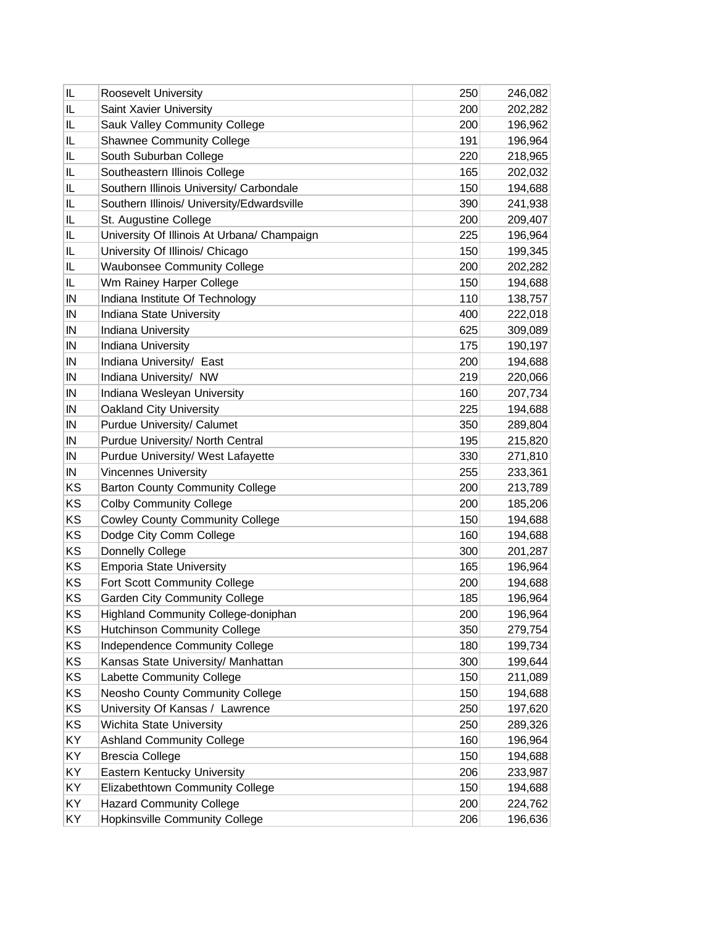| IL | Roosevelt University                        | 250 | 246,082 |
|----|---------------------------------------------|-----|---------|
| IL | Saint Xavier University                     | 200 | 202,282 |
| IL | Sauk Valley Community College               | 200 | 196,962 |
| IL | <b>Shawnee Community College</b>            | 191 | 196,964 |
| IL | South Suburban College                      | 220 | 218,965 |
| IL | Southeastern Illinois College               | 165 | 202,032 |
| IL | Southern Illinois University/ Carbondale    | 150 | 194,688 |
| IL | Southern Illinois/ University/Edwardsville  | 390 | 241,938 |
| IL | St. Augustine College                       | 200 | 209,407 |
| IL | University Of Illinois At Urbana/ Champaign | 225 | 196,964 |
| IL | University Of Illinois/ Chicago             | 150 | 199,345 |
| IL | <b>Waubonsee Community College</b>          | 200 | 202,282 |
| IL | Wm Rainey Harper College                    | 150 | 194,688 |
| IN | Indiana Institute Of Technology             | 110 | 138,757 |
| IN | Indiana State University                    | 400 | 222,018 |
| IN | Indiana University                          | 625 | 309,089 |
| IN | Indiana University                          | 175 | 190,197 |
| IN | Indiana University/ East                    | 200 | 194,688 |
| IN | Indiana University/ NW                      | 219 | 220,066 |
| IN | Indiana Wesleyan University                 | 160 | 207,734 |
| IN | Oakland City University                     | 225 | 194,688 |
| IN | Purdue University/ Calumet                  | 350 | 289,804 |
| IN | Purdue University/ North Central            | 195 | 215,820 |
| IN | Purdue University/ West Lafayette           | 330 | 271,810 |
| IN | <b>Vincennes University</b>                 | 255 | 233,361 |
| KS | <b>Barton County Community College</b>      | 200 | 213,789 |
| KS | <b>Colby Community College</b>              | 200 | 185,206 |
| KS | <b>Cowley County Community College</b>      | 150 | 194,688 |
| KS | Dodge City Comm College                     | 160 | 194,688 |
| KS | Donnelly College                            | 300 | 201,287 |
| KS | <b>Emporia State University</b>             | 165 | 196,964 |
| KS | Fort Scott Community College                | 200 | 194,688 |
| KS | <b>Garden City Community College</b>        | 185 | 196,964 |
| KS | Highland Community College-doniphan         | 200 | 196,964 |
| KS | <b>Hutchinson Community College</b>         | 350 | 279,754 |
| KS | Independence Community College              | 180 | 199,734 |
| KS | Kansas State University/ Manhattan          | 300 | 199,644 |
| KS | Labette Community College                   | 150 | 211,089 |
| KS | Neosho County Community College             | 150 | 194,688 |
| KS | University Of Kansas / Lawrence             | 250 | 197,620 |
| KS | Wichita State University                    | 250 | 289,326 |
| KY | <b>Ashland Community College</b>            | 160 | 196,964 |
| KY | <b>Brescia College</b>                      | 150 | 194,688 |
| KY | Eastern Kentucky University                 | 206 | 233,987 |
| KY | Elizabethtown Community College             | 150 | 194,688 |
| KY | <b>Hazard Community College</b>             | 200 | 224,762 |
| KY | <b>Hopkinsville Community College</b>       | 206 | 196,636 |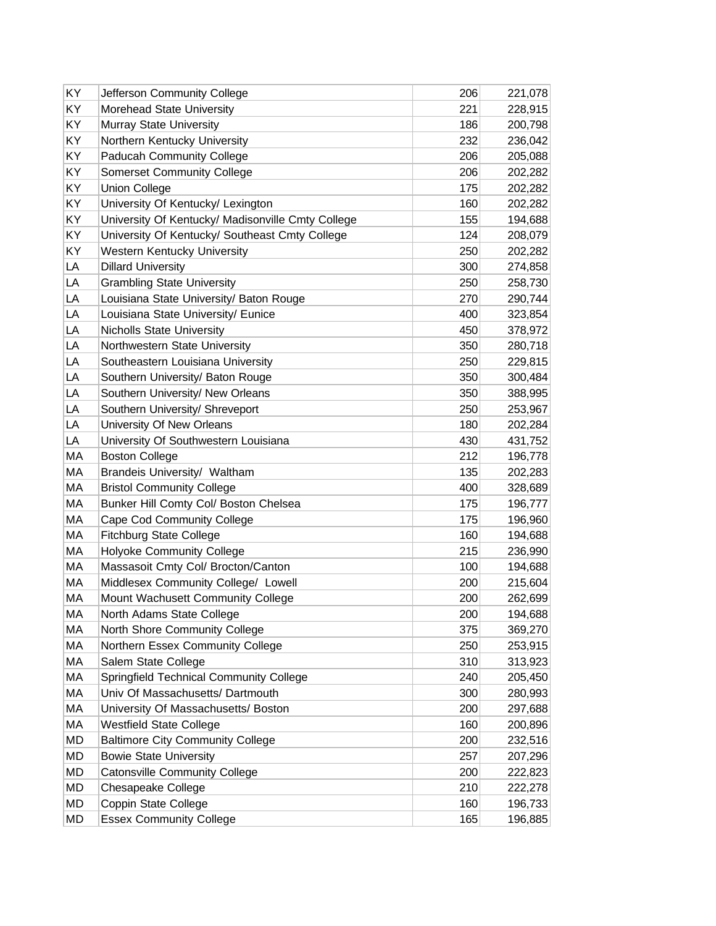| ΚY | Jefferson Community College                       | 206 | 221,078 |
|----|---------------------------------------------------|-----|---------|
| KY | Morehead State University                         | 221 | 228,915 |
| KY | Murray State University                           | 186 | 200,798 |
| KY | Northern Kentucky University                      | 232 | 236,042 |
| KY | Paducah Community College                         | 206 | 205,088 |
| KY | <b>Somerset Community College</b>                 | 206 | 202,282 |
| KY | <b>Union College</b>                              | 175 | 202,282 |
| KY | University Of Kentucky/ Lexington                 | 160 | 202,282 |
| KY | University Of Kentucky/ Madisonville Cmty College | 155 | 194,688 |
| KY | University Of Kentucky/ Southeast Cmty College    | 124 | 208,079 |
| KY | Western Kentucky University                       | 250 | 202,282 |
| LA | <b>Dillard University</b>                         | 300 | 274,858 |
| LA | <b>Grambling State University</b>                 | 250 | 258,730 |
| LA | Louisiana State University/ Baton Rouge           | 270 | 290,744 |
| LA | Louisiana State University/ Eunice                | 400 | 323,854 |
| LA | <b>Nicholls State University</b>                  | 450 | 378,972 |
| LA | Northwestern State University                     | 350 | 280,718 |
| LA | Southeastern Louisiana University                 | 250 | 229,815 |
| LA | Southern University/ Baton Rouge                  | 350 | 300,484 |
| LA | Southern University/ New Orleans                  | 350 | 388,995 |
| LA | Southern University/ Shreveport                   | 250 | 253,967 |
| LA | University Of New Orleans                         | 180 | 202,284 |
| LA | University Of Southwestern Louisiana              | 430 | 431,752 |
| MA | <b>Boston College</b>                             | 212 | 196,778 |
| МA | Brandeis University/ Waltham                      | 135 | 202,283 |
| МA | <b>Bristol Community College</b>                  | 400 | 328,689 |
| MA | Bunker Hill Comty Col/ Boston Chelsea             | 175 | 196,777 |
| МA | Cape Cod Community College                        | 175 | 196,960 |
| МA | <b>Fitchburg State College</b>                    | 160 | 194,688 |
| МA | <b>Holyoke Community College</b>                  | 215 | 236,990 |
| МA | Massasoit Cmty Col/ Brocton/Canton                | 100 | 194,688 |
| МA | Middlesex Community College/ Lowell               | 200 | 215,604 |
| МA | Mount Wachusett Community College                 | 200 | 262,699 |
| МA | North Adams State College                         | 200 | 194,688 |
| МA | North Shore Community College                     | 375 | 369,270 |
| МA | Northern Essex Community College                  | 250 | 253,915 |
| МA | Salem State College                               | 310 | 313,923 |
| МA | Springfield Technical Community College           | 240 | 205,450 |
| МA | Univ Of Massachusetts/ Dartmouth                  | 300 | 280,993 |
| МA | University Of Massachusetts/ Boston               | 200 | 297,688 |
| МA | <b>Westfield State College</b>                    | 160 | 200,896 |
| MD | <b>Baltimore City Community College</b>           | 200 | 232,516 |
| MD | <b>Bowie State University</b>                     | 257 | 207,296 |
| MD | <b>Catonsville Community College</b>              | 200 | 222,823 |
| MD | Chesapeake College                                | 210 | 222,278 |
| MD | Coppin State College                              | 160 | 196,733 |
| MD | <b>Essex Community College</b>                    | 165 | 196,885 |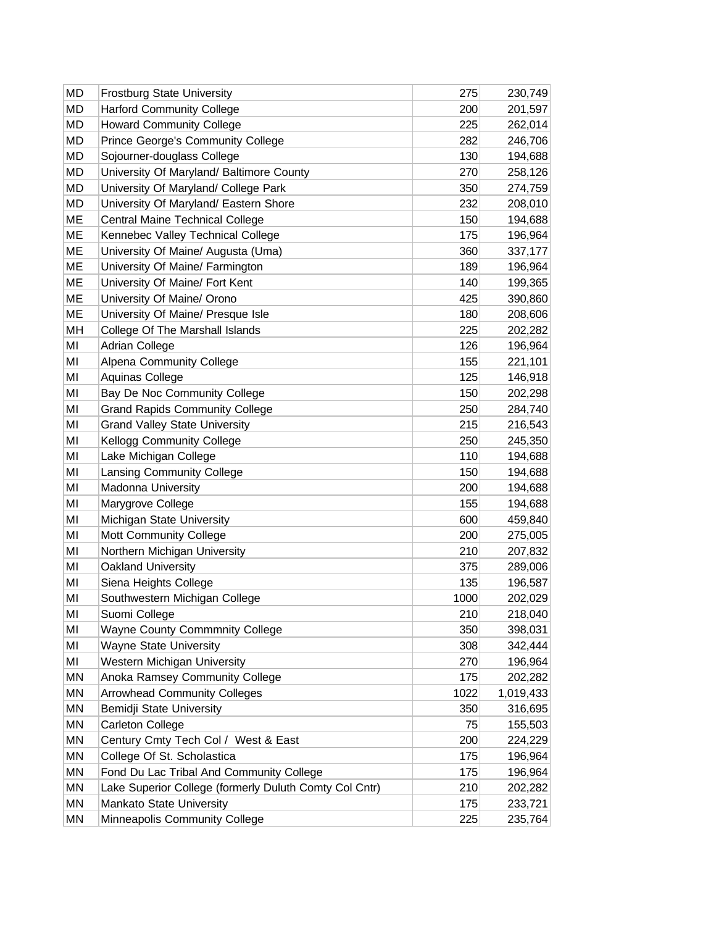| MD<br><b>Harford Community College</b><br>200<br>201,597<br>MD<br><b>Howard Community College</b><br>225<br>262,014<br>MD<br>Prince George's Community College<br>282<br>246,706<br>MD<br>Sojourner-douglass College<br>130<br>194,688<br>MD<br>University Of Maryland/ Baltimore County<br>270<br>258,126<br><b>MD</b><br>University Of Maryland/ College Park<br>350<br>274,759<br>MD<br>University Of Maryland/ Eastern Shore<br>232<br>208,010<br>ME<br>Central Maine Technical College<br>150<br>194,688<br>ME<br>Kennebec Valley Technical College<br>175<br>196,964<br>ME<br>University Of Maine/ Augusta (Uma)<br>360<br>337,177<br>ME<br>189<br>University Of Maine/ Farmington<br>196,964<br>ME<br>140<br>University Of Maine/ Fort Kent<br>199,365<br>ME<br>University Of Maine/ Orono<br>425<br>390,860<br>ME<br>University Of Maine/ Presque Isle<br>180<br>208,606<br>MH<br>College Of The Marshall Islands<br>225<br>202,282<br>MI<br><b>Adrian College</b><br>126<br>196,964<br>MI<br>Alpena Community College<br>155<br>221,101<br>125<br>MI<br>Aquinas College<br>146,918<br>MI<br>Bay De Noc Community College<br>150<br>202,298<br>MI<br>250<br><b>Grand Rapids Community College</b><br>284,740<br>MI<br><b>Grand Valley State University</b><br>215<br>216,543<br>MI<br><b>Kellogg Community College</b><br>250<br>245,350<br>MI<br>Lake Michigan College<br>110<br>194,688<br>MI<br>Lansing Community College<br>150<br>194,688<br>MI<br><b>Madonna University</b><br>200<br>194,688<br>MI<br>Marygrove College<br>155<br>194,688<br>MI<br>Michigan State University<br>600<br>459,840<br>MI<br>Mott Community College<br>200<br>275,005<br>MI<br>Northern Michigan University<br>210<br>207,832<br>Oakland University<br>MI<br>375<br>289,006<br>MI<br>Siena Heights College<br>135<br>196,587<br>Southwestern Michigan College<br>1000<br>MI<br>202,029 |
|----------------------------------------------------------------------------------------------------------------------------------------------------------------------------------------------------------------------------------------------------------------------------------------------------------------------------------------------------------------------------------------------------------------------------------------------------------------------------------------------------------------------------------------------------------------------------------------------------------------------------------------------------------------------------------------------------------------------------------------------------------------------------------------------------------------------------------------------------------------------------------------------------------------------------------------------------------------------------------------------------------------------------------------------------------------------------------------------------------------------------------------------------------------------------------------------------------------------------------------------------------------------------------------------------------------------------------------------------------------------------------------------------------------------------------------------------------------------------------------------------------------------------------------------------------------------------------------------------------------------------------------------------------------------------------------------------------------------------------------------------------------------------------------------------------------------------------------------------------------------------------|
|                                                                                                                                                                                                                                                                                                                                                                                                                                                                                                                                                                                                                                                                                                                                                                                                                                                                                                                                                                                                                                                                                                                                                                                                                                                                                                                                                                                                                                                                                                                                                                                                                                                                                                                                                                                                                                                                                  |
|                                                                                                                                                                                                                                                                                                                                                                                                                                                                                                                                                                                                                                                                                                                                                                                                                                                                                                                                                                                                                                                                                                                                                                                                                                                                                                                                                                                                                                                                                                                                                                                                                                                                                                                                                                                                                                                                                  |
|                                                                                                                                                                                                                                                                                                                                                                                                                                                                                                                                                                                                                                                                                                                                                                                                                                                                                                                                                                                                                                                                                                                                                                                                                                                                                                                                                                                                                                                                                                                                                                                                                                                                                                                                                                                                                                                                                  |
|                                                                                                                                                                                                                                                                                                                                                                                                                                                                                                                                                                                                                                                                                                                                                                                                                                                                                                                                                                                                                                                                                                                                                                                                                                                                                                                                                                                                                                                                                                                                                                                                                                                                                                                                                                                                                                                                                  |
|                                                                                                                                                                                                                                                                                                                                                                                                                                                                                                                                                                                                                                                                                                                                                                                                                                                                                                                                                                                                                                                                                                                                                                                                                                                                                                                                                                                                                                                                                                                                                                                                                                                                                                                                                                                                                                                                                  |
|                                                                                                                                                                                                                                                                                                                                                                                                                                                                                                                                                                                                                                                                                                                                                                                                                                                                                                                                                                                                                                                                                                                                                                                                                                                                                                                                                                                                                                                                                                                                                                                                                                                                                                                                                                                                                                                                                  |
|                                                                                                                                                                                                                                                                                                                                                                                                                                                                                                                                                                                                                                                                                                                                                                                                                                                                                                                                                                                                                                                                                                                                                                                                                                                                                                                                                                                                                                                                                                                                                                                                                                                                                                                                                                                                                                                                                  |
|                                                                                                                                                                                                                                                                                                                                                                                                                                                                                                                                                                                                                                                                                                                                                                                                                                                                                                                                                                                                                                                                                                                                                                                                                                                                                                                                                                                                                                                                                                                                                                                                                                                                                                                                                                                                                                                                                  |
|                                                                                                                                                                                                                                                                                                                                                                                                                                                                                                                                                                                                                                                                                                                                                                                                                                                                                                                                                                                                                                                                                                                                                                                                                                                                                                                                                                                                                                                                                                                                                                                                                                                                                                                                                                                                                                                                                  |
|                                                                                                                                                                                                                                                                                                                                                                                                                                                                                                                                                                                                                                                                                                                                                                                                                                                                                                                                                                                                                                                                                                                                                                                                                                                                                                                                                                                                                                                                                                                                                                                                                                                                                                                                                                                                                                                                                  |
|                                                                                                                                                                                                                                                                                                                                                                                                                                                                                                                                                                                                                                                                                                                                                                                                                                                                                                                                                                                                                                                                                                                                                                                                                                                                                                                                                                                                                                                                                                                                                                                                                                                                                                                                                                                                                                                                                  |
|                                                                                                                                                                                                                                                                                                                                                                                                                                                                                                                                                                                                                                                                                                                                                                                                                                                                                                                                                                                                                                                                                                                                                                                                                                                                                                                                                                                                                                                                                                                                                                                                                                                                                                                                                                                                                                                                                  |
|                                                                                                                                                                                                                                                                                                                                                                                                                                                                                                                                                                                                                                                                                                                                                                                                                                                                                                                                                                                                                                                                                                                                                                                                                                                                                                                                                                                                                                                                                                                                                                                                                                                                                                                                                                                                                                                                                  |
|                                                                                                                                                                                                                                                                                                                                                                                                                                                                                                                                                                                                                                                                                                                                                                                                                                                                                                                                                                                                                                                                                                                                                                                                                                                                                                                                                                                                                                                                                                                                                                                                                                                                                                                                                                                                                                                                                  |
|                                                                                                                                                                                                                                                                                                                                                                                                                                                                                                                                                                                                                                                                                                                                                                                                                                                                                                                                                                                                                                                                                                                                                                                                                                                                                                                                                                                                                                                                                                                                                                                                                                                                                                                                                                                                                                                                                  |
|                                                                                                                                                                                                                                                                                                                                                                                                                                                                                                                                                                                                                                                                                                                                                                                                                                                                                                                                                                                                                                                                                                                                                                                                                                                                                                                                                                                                                                                                                                                                                                                                                                                                                                                                                                                                                                                                                  |
|                                                                                                                                                                                                                                                                                                                                                                                                                                                                                                                                                                                                                                                                                                                                                                                                                                                                                                                                                                                                                                                                                                                                                                                                                                                                                                                                                                                                                                                                                                                                                                                                                                                                                                                                                                                                                                                                                  |
|                                                                                                                                                                                                                                                                                                                                                                                                                                                                                                                                                                                                                                                                                                                                                                                                                                                                                                                                                                                                                                                                                                                                                                                                                                                                                                                                                                                                                                                                                                                                                                                                                                                                                                                                                                                                                                                                                  |
|                                                                                                                                                                                                                                                                                                                                                                                                                                                                                                                                                                                                                                                                                                                                                                                                                                                                                                                                                                                                                                                                                                                                                                                                                                                                                                                                                                                                                                                                                                                                                                                                                                                                                                                                                                                                                                                                                  |
|                                                                                                                                                                                                                                                                                                                                                                                                                                                                                                                                                                                                                                                                                                                                                                                                                                                                                                                                                                                                                                                                                                                                                                                                                                                                                                                                                                                                                                                                                                                                                                                                                                                                                                                                                                                                                                                                                  |
|                                                                                                                                                                                                                                                                                                                                                                                                                                                                                                                                                                                                                                                                                                                                                                                                                                                                                                                                                                                                                                                                                                                                                                                                                                                                                                                                                                                                                                                                                                                                                                                                                                                                                                                                                                                                                                                                                  |
|                                                                                                                                                                                                                                                                                                                                                                                                                                                                                                                                                                                                                                                                                                                                                                                                                                                                                                                                                                                                                                                                                                                                                                                                                                                                                                                                                                                                                                                                                                                                                                                                                                                                                                                                                                                                                                                                                  |
|                                                                                                                                                                                                                                                                                                                                                                                                                                                                                                                                                                                                                                                                                                                                                                                                                                                                                                                                                                                                                                                                                                                                                                                                                                                                                                                                                                                                                                                                                                                                                                                                                                                                                                                                                                                                                                                                                  |
|                                                                                                                                                                                                                                                                                                                                                                                                                                                                                                                                                                                                                                                                                                                                                                                                                                                                                                                                                                                                                                                                                                                                                                                                                                                                                                                                                                                                                                                                                                                                                                                                                                                                                                                                                                                                                                                                                  |
|                                                                                                                                                                                                                                                                                                                                                                                                                                                                                                                                                                                                                                                                                                                                                                                                                                                                                                                                                                                                                                                                                                                                                                                                                                                                                                                                                                                                                                                                                                                                                                                                                                                                                                                                                                                                                                                                                  |
|                                                                                                                                                                                                                                                                                                                                                                                                                                                                                                                                                                                                                                                                                                                                                                                                                                                                                                                                                                                                                                                                                                                                                                                                                                                                                                                                                                                                                                                                                                                                                                                                                                                                                                                                                                                                                                                                                  |
|                                                                                                                                                                                                                                                                                                                                                                                                                                                                                                                                                                                                                                                                                                                                                                                                                                                                                                                                                                                                                                                                                                                                                                                                                                                                                                                                                                                                                                                                                                                                                                                                                                                                                                                                                                                                                                                                                  |
|                                                                                                                                                                                                                                                                                                                                                                                                                                                                                                                                                                                                                                                                                                                                                                                                                                                                                                                                                                                                                                                                                                                                                                                                                                                                                                                                                                                                                                                                                                                                                                                                                                                                                                                                                                                                                                                                                  |
|                                                                                                                                                                                                                                                                                                                                                                                                                                                                                                                                                                                                                                                                                                                                                                                                                                                                                                                                                                                                                                                                                                                                                                                                                                                                                                                                                                                                                                                                                                                                                                                                                                                                                                                                                                                                                                                                                  |
|                                                                                                                                                                                                                                                                                                                                                                                                                                                                                                                                                                                                                                                                                                                                                                                                                                                                                                                                                                                                                                                                                                                                                                                                                                                                                                                                                                                                                                                                                                                                                                                                                                                                                                                                                                                                                                                                                  |
|                                                                                                                                                                                                                                                                                                                                                                                                                                                                                                                                                                                                                                                                                                                                                                                                                                                                                                                                                                                                                                                                                                                                                                                                                                                                                                                                                                                                                                                                                                                                                                                                                                                                                                                                                                                                                                                                                  |
|                                                                                                                                                                                                                                                                                                                                                                                                                                                                                                                                                                                                                                                                                                                                                                                                                                                                                                                                                                                                                                                                                                                                                                                                                                                                                                                                                                                                                                                                                                                                                                                                                                                                                                                                                                                                                                                                                  |
| MI<br>Suomi College<br>210<br>218,040                                                                                                                                                                                                                                                                                                                                                                                                                                                                                                                                                                                                                                                                                                                                                                                                                                                                                                                                                                                                                                                                                                                                                                                                                                                                                                                                                                                                                                                                                                                                                                                                                                                                                                                                                                                                                                            |
| MI<br><b>Wayne County Commmnity College</b><br>350<br>398,031                                                                                                                                                                                                                                                                                                                                                                                                                                                                                                                                                                                                                                                                                                                                                                                                                                                                                                                                                                                                                                                                                                                                                                                                                                                                                                                                                                                                                                                                                                                                                                                                                                                                                                                                                                                                                    |
| MI<br><b>Wayne State University</b><br>308<br>342,444                                                                                                                                                                                                                                                                                                                                                                                                                                                                                                                                                                                                                                                                                                                                                                                                                                                                                                                                                                                                                                                                                                                                                                                                                                                                                                                                                                                                                                                                                                                                                                                                                                                                                                                                                                                                                            |
| MI<br>Western Michigan University<br>270<br>196,964                                                                                                                                                                                                                                                                                                                                                                                                                                                                                                                                                                                                                                                                                                                                                                                                                                                                                                                                                                                                                                                                                                                                                                                                                                                                                                                                                                                                                                                                                                                                                                                                                                                                                                                                                                                                                              |
| ΜN<br>Anoka Ramsey Community College<br>175<br>202,282                                                                                                                                                                                                                                                                                                                                                                                                                                                                                                                                                                                                                                                                                                                                                                                                                                                                                                                                                                                                                                                                                                                                                                                                                                                                                                                                                                                                                                                                                                                                                                                                                                                                                                                                                                                                                           |
| MN<br><b>Arrowhead Community Colleges</b><br>1022<br>1,019,433                                                                                                                                                                                                                                                                                                                                                                                                                                                                                                                                                                                                                                                                                                                                                                                                                                                                                                                                                                                                                                                                                                                                                                                                                                                                                                                                                                                                                                                                                                                                                                                                                                                                                                                                                                                                                   |
| ΜN<br>Bemidji State University<br>350<br>316,695                                                                                                                                                                                                                                                                                                                                                                                                                                                                                                                                                                                                                                                                                                                                                                                                                                                                                                                                                                                                                                                                                                                                                                                                                                                                                                                                                                                                                                                                                                                                                                                                                                                                                                                                                                                                                                 |
| ΜN<br>Carleton College<br>75<br>155,503                                                                                                                                                                                                                                                                                                                                                                                                                                                                                                                                                                                                                                                                                                                                                                                                                                                                                                                                                                                                                                                                                                                                                                                                                                                                                                                                                                                                                                                                                                                                                                                                                                                                                                                                                                                                                                          |
| ΜN<br>Century Cmty Tech Col / West & East<br>200<br>224,229<br>MN<br>College Of St. Scholastica<br>175                                                                                                                                                                                                                                                                                                                                                                                                                                                                                                                                                                                                                                                                                                                                                                                                                                                                                                                                                                                                                                                                                                                                                                                                                                                                                                                                                                                                                                                                                                                                                                                                                                                                                                                                                                           |
| 196,964<br>ΜN<br>Fond Du Lac Tribal And Community College<br>175<br>196,964                                                                                                                                                                                                                                                                                                                                                                                                                                                                                                                                                                                                                                                                                                                                                                                                                                                                                                                                                                                                                                                                                                                                                                                                                                                                                                                                                                                                                                                                                                                                                                                                                                                                                                                                                                                                      |
| MN<br>Lake Superior College (formerly Duluth Comty Col Cntr)<br>210<br>202,282                                                                                                                                                                                                                                                                                                                                                                                                                                                                                                                                                                                                                                                                                                                                                                                                                                                                                                                                                                                                                                                                                                                                                                                                                                                                                                                                                                                                                                                                                                                                                                                                                                                                                                                                                                                                   |
| MN<br>Mankato State University<br>175<br>233,721                                                                                                                                                                                                                                                                                                                                                                                                                                                                                                                                                                                                                                                                                                                                                                                                                                                                                                                                                                                                                                                                                                                                                                                                                                                                                                                                                                                                                                                                                                                                                                                                                                                                                                                                                                                                                                 |
| MN<br>225<br>Minneapolis Community College<br>235,764                                                                                                                                                                                                                                                                                                                                                                                                                                                                                                                                                                                                                                                                                                                                                                                                                                                                                                                                                                                                                                                                                                                                                                                                                                                                                                                                                                                                                                                                                                                                                                                                                                                                                                                                                                                                                            |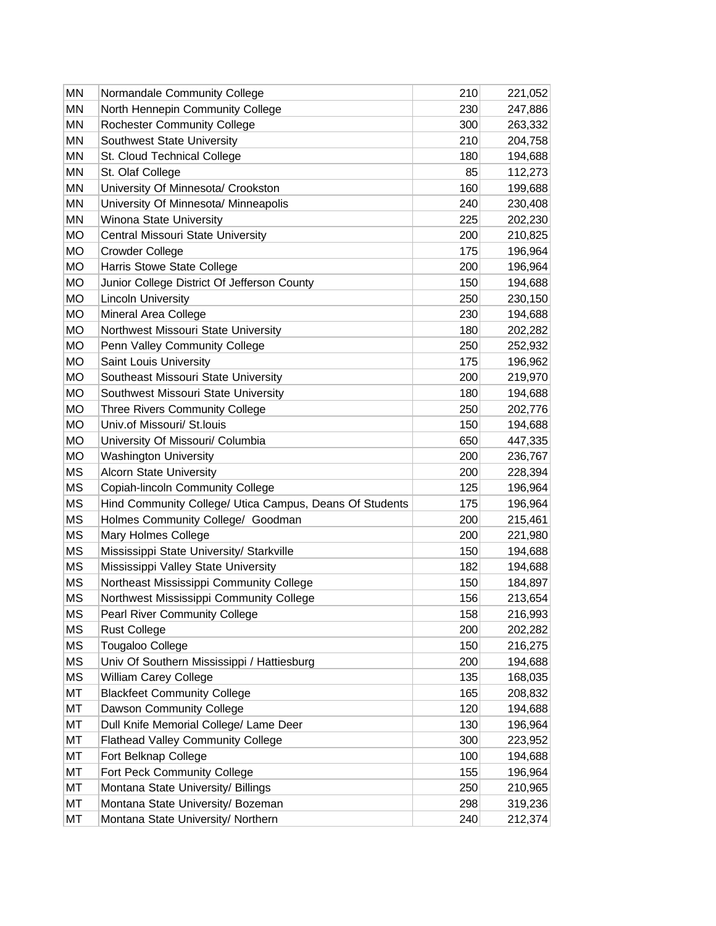| MN        | Normandale Community College                            | 210 | 221,052 |
|-----------|---------------------------------------------------------|-----|---------|
| MN        | North Hennepin Community College                        | 230 | 247,886 |
| MN        | <b>Rochester Community College</b>                      | 300 | 263,332 |
| ΜN        | Southwest State University                              | 210 | 204,758 |
| ΜN        | St. Cloud Technical College                             | 180 | 194,688 |
| ΜN        | St. Olaf College                                        | 85  | 112,273 |
| MN        | University Of Minnesota/ Crookston                      | 160 | 199,688 |
| MN        | University Of Minnesota/ Minneapolis                    | 240 | 230,408 |
| MN        | Winona State University                                 | 225 | 202,230 |
| MO        | Central Missouri State University                       | 200 | 210,825 |
| <b>MO</b> | <b>Crowder College</b>                                  | 175 | 196,964 |
| MO        | Harris Stowe State College                              | 200 | 196,964 |
| MO        | Junior College District Of Jefferson County             | 150 | 194,688 |
| MO        | <b>Lincoln University</b>                               | 250 | 230,150 |
| <b>MO</b> | Mineral Area College                                    | 230 | 194,688 |
| <b>MO</b> | Northwest Missouri State University                     | 180 | 202,282 |
| MO        | Penn Valley Community College                           | 250 | 252,932 |
| MO        | Saint Louis University                                  | 175 | 196,962 |
| <b>MO</b> | Southeast Missouri State University                     | 200 | 219,970 |
| MO        | Southwest Missouri State University                     | 180 | 194,688 |
| MO        | Three Rivers Community College                          | 250 | 202,776 |
| MO        | Univ.of Missouri/ St.louis                              | 150 | 194,688 |
| <b>MO</b> | University Of Missouri/ Columbia                        | 650 | 447,335 |
| <b>MO</b> | <b>Washington University</b>                            | 200 | 236,767 |
| MS        | <b>Alcorn State University</b>                          | 200 | 228,394 |
| ΜS        | Copiah-lincoln Community College                        | 125 | 196,964 |
| <b>MS</b> | Hind Community College/ Utica Campus, Deans Of Students | 175 | 196,964 |
| ΜS        | Holmes Community College/ Goodman                       | 200 | 215,461 |
| ΜS        | Mary Holmes College                                     | 200 | 221,980 |
| ΜS        | Mississippi State University/ Starkville                | 150 | 194,688 |
| <b>MS</b> | Mississippi Valley State University                     | 182 | 194,688 |
| MS        | Northeast Mississippi Community College                 | 150 | 184,897 |
| MS        | Northwest Mississippi Community College                 | 156 | 213,654 |
| ΜS        | Pearl River Community College                           | 158 | 216,993 |
| <b>MS</b> | <b>Rust College</b>                                     | 200 | 202,282 |
| ΜS        | <b>Tougaloo College</b>                                 | 150 | 216,275 |
| <b>MS</b> | Univ Of Southern Mississippi / Hattiesburg              | 200 | 194,688 |
| МS        | William Carey College                                   | 135 | 168,035 |
| MT        | <b>Blackfeet Community College</b>                      | 165 | 208,832 |
| МT        | Dawson Community College                                | 120 | 194,688 |
| МT        | Dull Knife Memorial College/ Lame Deer                  | 130 | 196,964 |
| МT        | <b>Flathead Valley Community College</b>                | 300 | 223,952 |
| МT        | Fort Belknap College                                    | 100 | 194,688 |
| МT        | Fort Peck Community College                             | 155 | 196,964 |
| МT        | Montana State University/ Billings                      | 250 | 210,965 |
| МT        | Montana State University/ Bozeman                       | 298 | 319,236 |
| МT        | Montana State University/ Northern                      | 240 | 212,374 |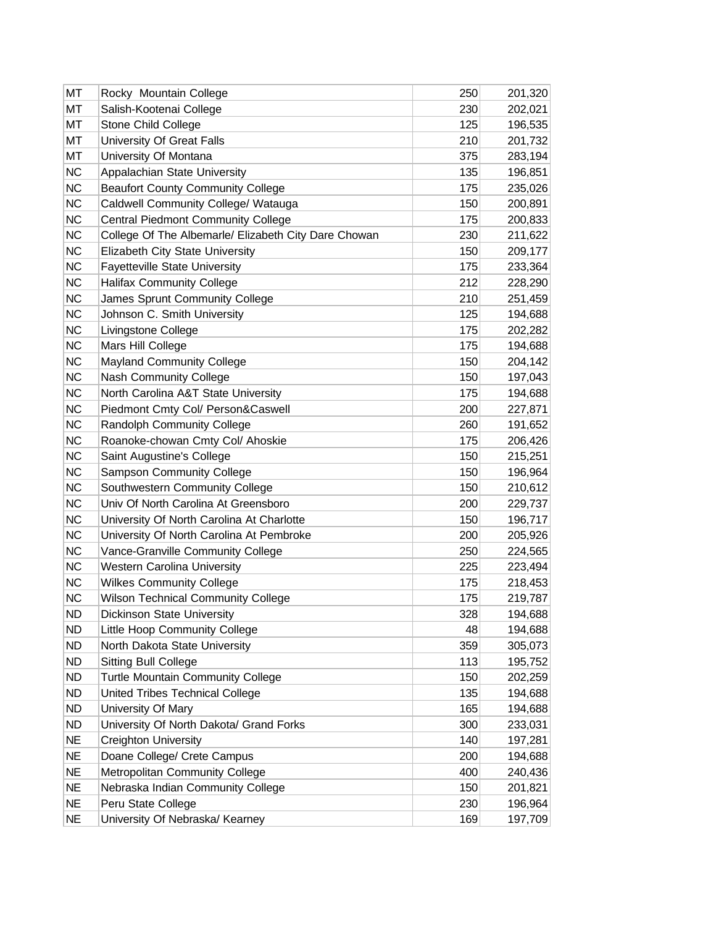| МT        | Rocky Mountain College                               | 250 | 201,320 |
|-----------|------------------------------------------------------|-----|---------|
| МT        | Salish-Kootenai College                              | 230 | 202,021 |
| MT        | <b>Stone Child College</b>                           | 125 | 196,535 |
| МT        | University Of Great Falls                            | 210 | 201,732 |
| MT        | University Of Montana                                | 375 | 283,194 |
| <b>NC</b> | Appalachian State University                         | 135 | 196,851 |
| <b>NC</b> | <b>Beaufort County Community College</b>             | 175 | 235,026 |
| <b>NC</b> | Caldwell Community College/ Watauga                  | 150 | 200,891 |
| <b>NC</b> | <b>Central Piedmont Community College</b>            | 175 | 200,833 |
| <b>NC</b> | College Of The Albemarle/ Elizabeth City Dare Chowan | 230 | 211,622 |
| <b>NC</b> | Elizabeth City State University                      | 150 | 209,177 |
| <b>NC</b> | <b>Fayetteville State University</b>                 | 175 | 233,364 |
| <b>NC</b> | <b>Halifax Community College</b>                     | 212 | 228,290 |
| <b>NC</b> | James Sprunt Community College                       | 210 | 251,459 |
| <b>NC</b> | Johnson C. Smith University                          | 125 | 194,688 |
| <b>NC</b> | Livingstone College                                  | 175 | 202,282 |
| <b>NC</b> | Mars Hill College                                    | 175 | 194,688 |
| <b>NC</b> | <b>Mayland Community College</b>                     | 150 | 204,142 |
| <b>NC</b> | <b>Nash Community College</b>                        | 150 | 197,043 |
| <b>NC</b> | North Carolina A&T State University                  | 175 | 194,688 |
| <b>NC</b> | Piedmont Cmty Col/ Person&Caswell                    | 200 | 227,871 |
| <b>NC</b> | <b>Randolph Community College</b>                    | 260 | 191,652 |
| <b>NC</b> | Roanoke-chowan Cmty Col/ Ahoskie                     | 175 | 206,426 |
| <b>NC</b> | Saint Augustine's College                            | 150 | 215,251 |
| <b>NC</b> | <b>Sampson Community College</b>                     | 150 | 196,964 |
| <b>NC</b> | Southwestern Community College                       | 150 | 210,612 |
| <b>NC</b> | Univ Of North Carolina At Greensboro                 | 200 | 229,737 |
| <b>NC</b> | University Of North Carolina At Charlotte            | 150 | 196,717 |
| <b>NC</b> | University Of North Carolina At Pembroke             | 200 | 205,926 |
| <b>NC</b> | Vance-Granville Community College                    | 250 | 224,565 |
| <b>NC</b> | <b>Western Carolina University</b>                   | 225 | 223,494 |
| <b>NC</b> | <b>Wilkes Community College</b>                      | 175 | 218,453 |
| <b>NC</b> | <b>Wilson Technical Community College</b>            | 175 | 219,787 |
| ND        | <b>Dickinson State University</b>                    | 328 | 194,688 |
| <b>ND</b> | Little Hoop Community College                        | 48  | 194,688 |
| <b>ND</b> | North Dakota State University                        | 359 | 305,073 |
| <b>ND</b> | <b>Sitting Bull College</b>                          | 113 | 195,752 |
| ND        | <b>Turtle Mountain Community College</b>             | 150 | 202,259 |
| <b>ND</b> | United Tribes Technical College                      | 135 | 194,688 |
| <b>ND</b> | University Of Mary                                   | 165 | 194,688 |
| <b>ND</b> | University Of North Dakota/ Grand Forks              | 300 | 233,031 |
| <b>NE</b> | <b>Creighton University</b>                          | 140 | 197,281 |
| <b>NE</b> | Doane College/ Crete Campus                          | 200 | 194,688 |
| <b>NE</b> | Metropolitan Community College                       | 400 | 240,436 |
| <b>NE</b> | Nebraska Indian Community College                    | 150 | 201,821 |
| <b>NE</b> | Peru State College                                   | 230 | 196,964 |
| <b>NE</b> | University Of Nebraska/ Kearney                      | 169 | 197,709 |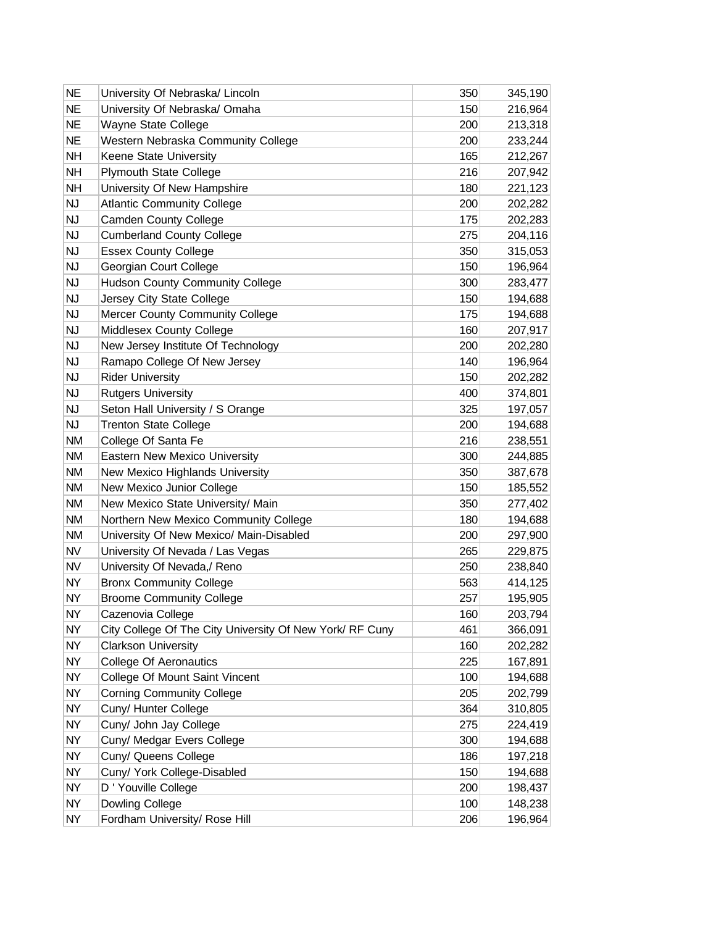| <b>NE</b> | University Of Nebraska/ Lincoln                          | 350 | 345,190 |
|-----------|----------------------------------------------------------|-----|---------|
| <b>NE</b> | University Of Nebraska/ Omaha                            | 150 | 216,964 |
| <b>NE</b> | Wayne State College                                      | 200 | 213,318 |
| <b>NE</b> | Western Nebraska Community College                       | 200 | 233,244 |
| <b>NH</b> | Keene State University                                   | 165 | 212,267 |
| <b>NH</b> | <b>Plymouth State College</b>                            | 216 | 207,942 |
| <b>NH</b> | University Of New Hampshire                              | 180 | 221,123 |
| <b>NJ</b> | <b>Atlantic Community College</b>                        | 200 | 202,282 |
| <b>NJ</b> | <b>Camden County College</b>                             | 175 | 202,283 |
| <b>NJ</b> | <b>Cumberland County College</b>                         | 275 | 204,116 |
| <b>NJ</b> | <b>Essex County College</b>                              | 350 | 315,053 |
| <b>NJ</b> | Georgian Court College                                   | 150 | 196,964 |
| <b>NJ</b> | <b>Hudson County Community College</b>                   | 300 | 283,477 |
| <b>NJ</b> | Jersey City State College                                | 150 | 194,688 |
| <b>NJ</b> | <b>Mercer County Community College</b>                   | 175 | 194,688 |
| <b>NJ</b> | <b>Middlesex County College</b>                          | 160 | 207,917 |
| <b>NJ</b> | New Jersey Institute Of Technology                       | 200 | 202,280 |
| <b>NJ</b> | Ramapo College Of New Jersey                             | 140 | 196,964 |
| <b>NJ</b> | <b>Rider University</b>                                  | 150 | 202,282 |
| <b>NJ</b> | <b>Rutgers University</b>                                | 400 | 374,801 |
| <b>NJ</b> | Seton Hall University / S Orange                         | 325 | 197,057 |
| <b>NJ</b> | <b>Trenton State College</b>                             | 200 | 194,688 |
| <b>NM</b> | College Of Santa Fe                                      | 216 | 238,551 |
| <b>NM</b> | Eastern New Mexico University                            | 300 | 244,885 |
| <b>NM</b> | New Mexico Highlands University                          | 350 | 387,678 |
| <b>NM</b> | New Mexico Junior College                                | 150 | 185,552 |
| <b>NM</b> | New Mexico State University/ Main                        | 350 | 277,402 |
| <b>NM</b> | Northern New Mexico Community College                    | 180 | 194,688 |
| <b>NM</b> | University Of New Mexico/ Main-Disabled                  | 200 | 297,900 |
| <b>NV</b> | University Of Nevada / Las Vegas                         | 265 | 229,875 |
| <b>NV</b> | University Of Nevada,/ Reno                              | 250 | 238,840 |
| <b>NY</b> | <b>Bronx Community College</b>                           | 563 | 414,125 |
| <b>NY</b> | <b>Broome Community College</b>                          | 257 | 195,905 |
| <b>NY</b> | Cazenovia College                                        | 160 | 203,794 |
| <b>NY</b> | City College Of The City University Of New York/ RF Cuny | 461 | 366,091 |
| <b>NY</b> | <b>Clarkson University</b>                               | 160 | 202,282 |
| <b>NY</b> | <b>College Of Aeronautics</b>                            | 225 | 167,891 |
| <b>NY</b> | College Of Mount Saint Vincent                           | 100 | 194,688 |
| <b>NY</b> | <b>Corning Community College</b>                         | 205 | 202,799 |
| <b>NY</b> | Cuny/ Hunter College                                     | 364 | 310,805 |
| <b>NY</b> | Cuny/ John Jay College                                   | 275 | 224,419 |
| <b>NY</b> | Cuny/ Medgar Evers College                               | 300 | 194,688 |
| <b>NY</b> | Cuny/ Queens College                                     | 186 | 197,218 |
| <b>NY</b> | Cuny/ York College-Disabled                              | 150 | 194,688 |
| <b>NY</b> | D ' Youville College                                     | 200 | 198,437 |
| <b>NY</b> | Dowling College                                          | 100 | 148,238 |
| <b>NY</b> | Fordham University/ Rose Hill                            | 206 | 196,964 |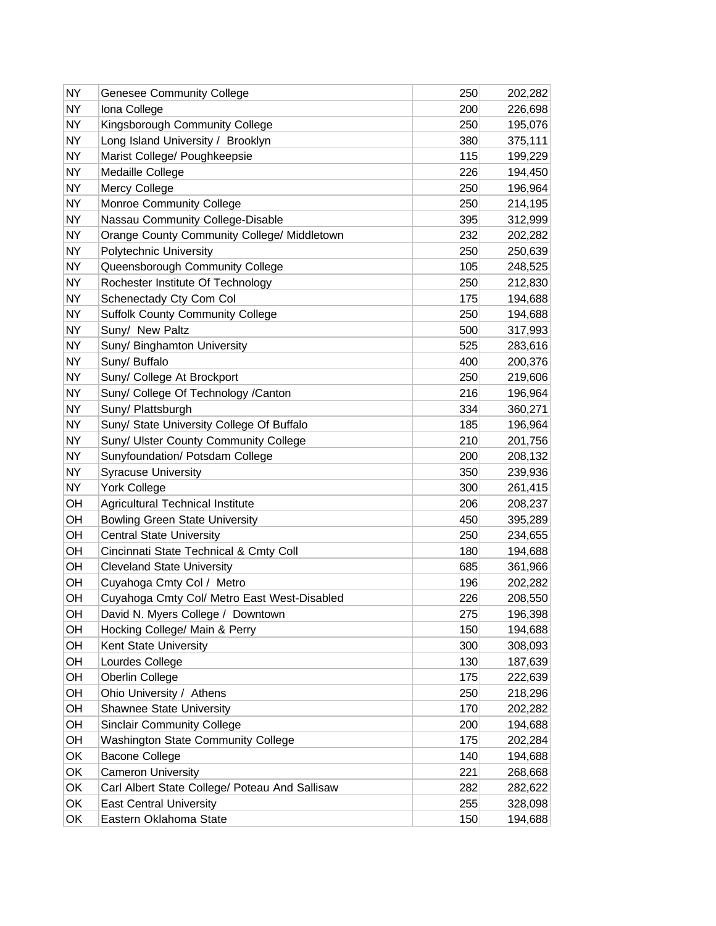| <b>NY</b> | <b>Genesee Community College</b>               | 250 | 202,282 |
|-----------|------------------------------------------------|-----|---------|
| <b>NY</b> | Iona College                                   | 200 | 226,698 |
| <b>NY</b> | Kingsborough Community College                 | 250 | 195,076 |
| <b>NY</b> | Long Island University / Brooklyn              | 380 | 375,111 |
| <b>NY</b> | Marist College/ Poughkeepsie                   | 115 | 199,229 |
| <b>NY</b> | Medaille College                               | 226 | 194,450 |
| <b>NY</b> | Mercy College                                  | 250 | 196,964 |
| <b>NY</b> | <b>Monroe Community College</b>                | 250 | 214,195 |
| <b>NY</b> | Nassau Community College-Disable               | 395 | 312,999 |
| <b>NY</b> | Orange County Community College/ Middletown    | 232 | 202,282 |
| <b>NY</b> | Polytechnic University                         | 250 | 250,639 |
| <b>NY</b> | Queensborough Community College                | 105 | 248,525 |
| <b>NY</b> | Rochester Institute Of Technology              | 250 | 212,830 |
| <b>NY</b> | Schenectady Cty Com Col                        | 175 | 194,688 |
| <b>NY</b> | <b>Suffolk County Community College</b>        | 250 | 194,688 |
| <b>NY</b> | Suny/ New Paltz                                | 500 | 317,993 |
| <b>NY</b> | Suny/ Binghamton University                    | 525 | 283,616 |
| <b>NY</b> | Suny/ Buffalo                                  | 400 | 200,376 |
| <b>NY</b> | Suny/ College At Brockport                     | 250 | 219,606 |
| <b>NY</b> | Suny/ College Of Technology /Canton            | 216 | 196,964 |
| <b>NY</b> | Suny/ Plattsburgh                              | 334 | 360,271 |
| <b>NY</b> | Suny/ State University College Of Buffalo      | 185 | 196,964 |
| <b>NY</b> | Suny/ Ulster County Community College          | 210 | 201,756 |
| <b>NY</b> | Sunyfoundation/ Potsdam College                | 200 | 208,132 |
| <b>NY</b> | <b>Syracuse University</b>                     | 350 | 239,936 |
| <b>NY</b> | <b>York College</b>                            | 300 | 261,415 |
| OH        | Agricultural Technical Institute               | 206 | 208,237 |
| OH        | <b>Bowling Green State University</b>          | 450 | 395,289 |
| OH        | <b>Central State University</b>                | 250 | 234,655 |
| OH        | Cincinnati State Technical & Cmty Coll         | 180 | 194,688 |
| OH        | <b>Cleveland State University</b>              | 685 | 361,966 |
| OH        | Cuyahoga Cmty Col / Metro                      | 196 | 202,282 |
| OH        | Cuyahoga Cmty Col/ Metro East West-Disabled    | 226 | 208,550 |
| OH        | David N. Myers College / Downtown              | 275 | 196,398 |
| OH        | Hocking College/ Main & Perry                  | 150 | 194,688 |
| OH        | Kent State University                          | 300 | 308,093 |
| OH        | Lourdes College                                | 130 | 187,639 |
| OH        | Oberlin College                                | 175 | 222,639 |
| OH        | Ohio University / Athens                       | 250 | 218,296 |
| OH        | <b>Shawnee State University</b>                | 170 | 202,282 |
| OH        | <b>Sinclair Community College</b>              | 200 | 194,688 |
| OH        | Washington State Community College             | 175 | 202,284 |
| OK        | <b>Bacone College</b>                          | 140 | 194,688 |
| OK        | <b>Cameron University</b>                      | 221 | 268,668 |
| OK        | Carl Albert State College/ Poteau And Sallisaw | 282 | 282,622 |
| OK        | <b>East Central University</b>                 | 255 | 328,098 |
| OK        | Eastern Oklahoma State                         | 150 | 194,688 |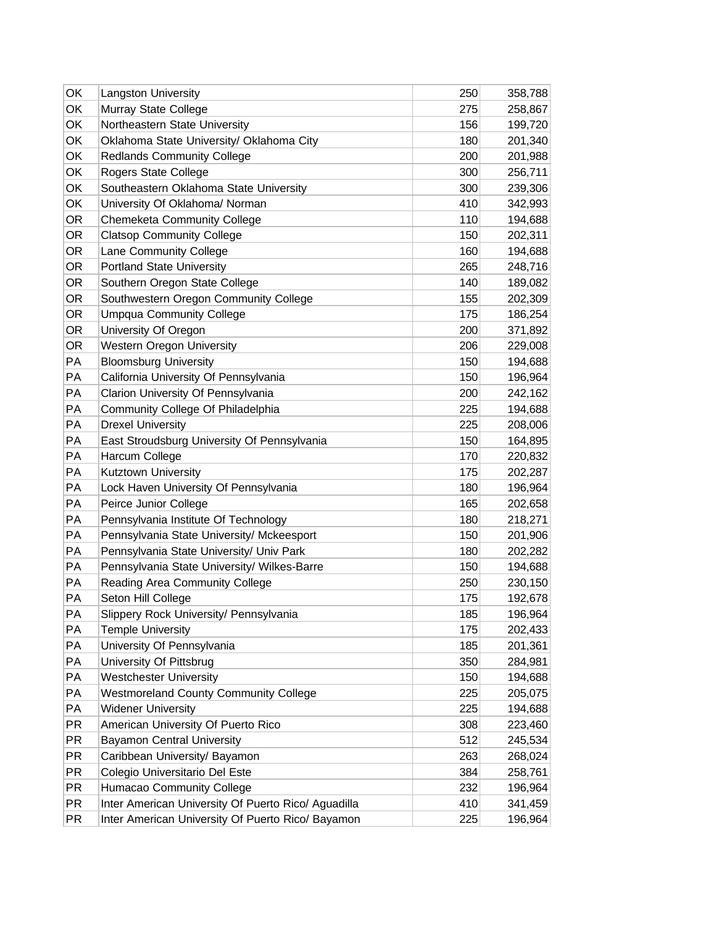| OK        | <b>Langston University</b>                          | 250 | 358,788 |
|-----------|-----------------------------------------------------|-----|---------|
| OK        | Murray State College                                | 275 | 258,867 |
| OK        | Northeastern State University                       | 156 | 199,720 |
| OK        | Oklahoma State University/ Oklahoma City            | 180 | 201,340 |
| OK        | <b>Redlands Community College</b>                   | 200 | 201,988 |
| OK        | Rogers State College                                | 300 | 256,711 |
| OK        | Southeastern Oklahoma State University              | 300 | 239,306 |
| OK        | University Of Oklahoma/ Norman                      | 410 | 342,993 |
| <b>OR</b> | <b>Chemeketa Community College</b>                  | 110 | 194,688 |
| <b>OR</b> | <b>Clatsop Community College</b>                    | 150 | 202,311 |
| <b>OR</b> | Lane Community College                              | 160 | 194,688 |
| <b>OR</b> | <b>Portland State University</b>                    | 265 | 248,716 |
| OR.       | Southern Oregon State College                       | 140 | 189,082 |
| <b>OR</b> | Southwestern Oregon Community College               | 155 | 202,309 |
| <b>OR</b> | <b>Umpqua Community College</b>                     | 175 | 186,254 |
| <b>OR</b> | University Of Oregon                                | 200 | 371,892 |
| <b>OR</b> | Western Oregon University                           | 206 | 229,008 |
| PA        | <b>Bloomsburg University</b>                        | 150 | 194,688 |
| PA        | California University Of Pennsylvania               | 150 | 196,964 |
| PA        | Clarion University Of Pennsylvania                  | 200 | 242,162 |
| PA        | Community College Of Philadelphia                   | 225 | 194,688 |
| PA        | <b>Drexel University</b>                            | 225 | 208,006 |
| PA        | East Stroudsburg University Of Pennsylvania         | 150 | 164,895 |
| PA        | Harcum College                                      | 170 | 220,832 |
| PA        | Kutztown University                                 | 175 | 202,287 |
| PA        | Lock Haven University Of Pennsylvania               | 180 | 196,964 |
| PA        | Peirce Junior College                               | 165 | 202,658 |
| PA        | Pennsylvania Institute Of Technology                | 180 | 218,271 |
| PA        | Pennsylvania State University/ Mckeesport           | 150 | 201,906 |
| PA        | Pennsylvania State University/ Univ Park            | 180 | 202,282 |
| PA        | Pennsylvania State University/ Wilkes-Barre         | 150 | 194,688 |
| PA        | Reading Area Community College                      | 250 | 230,150 |
| РA        | Seton Hill College                                  | 175 | 192,678 |
| PA        | Slippery Rock University/ Pennsylvania              | 185 | 196,964 |
| PA        | <b>Temple University</b>                            | 175 | 202,433 |
| PA        | University Of Pennsylvania                          | 185 | 201,361 |
| PA        | University Of Pittsbrug                             | 350 | 284,981 |
| PA        | <b>Westchester University</b>                       | 150 | 194,688 |
| PA        | <b>Westmoreland County Community College</b>        | 225 | 205,075 |
| PA        | <b>Widener University</b>                           | 225 | 194,688 |
| PR        | American University Of Puerto Rico                  | 308 | 223,460 |
| <b>PR</b> | <b>Bayamon Central University</b>                   | 512 | 245,534 |
| PR        | Caribbean University/ Bayamon                       | 263 | 268,024 |
| PR        | Colegio Universitario Del Este                      | 384 | 258,761 |
| PR        | Humacao Community College                           | 232 | 196,964 |
| PR        | Inter American University Of Puerto Rico/ Aguadilla | 410 | 341,459 |
| PR        | Inter American University Of Puerto Rico/ Bayamon   | 225 | 196,964 |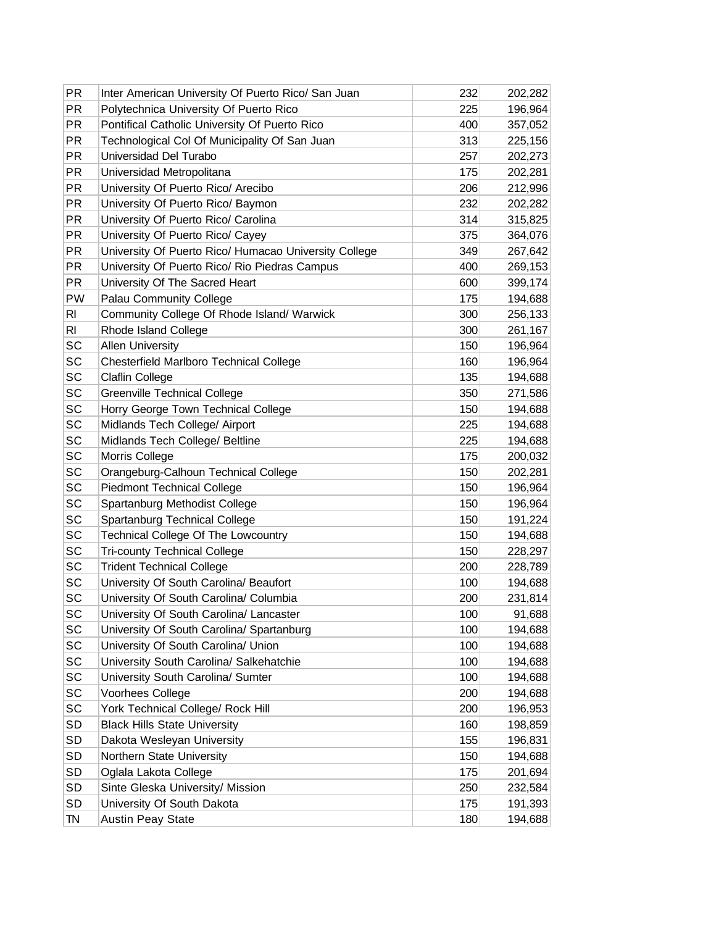| <b>PR</b>      | Inter American University Of Puerto Rico/ San Juan    | 232 | 202,282 |
|----------------|-------------------------------------------------------|-----|---------|
| <b>PR</b>      | Polytechnica University Of Puerto Rico                | 225 | 196,964 |
| <b>PR</b>      | Pontifical Catholic University Of Puerto Rico         | 400 | 357,052 |
| <b>PR</b>      | Technological Col Of Municipality Of San Juan         | 313 | 225,156 |
| <b>PR</b>      | Universidad Del Turabo                                | 257 | 202,273 |
| <b>PR</b>      | Universidad Metropolitana                             | 175 | 202,281 |
| <b>PR</b>      | University Of Puerto Rico/ Arecibo                    | 206 | 212,996 |
| <b>PR</b>      | University Of Puerto Rico/ Baymon                     | 232 | 202,282 |
| <b>PR</b>      | University Of Puerto Rico/ Carolina                   | 314 | 315,825 |
| <b>PR</b>      | University Of Puerto Rico/ Cayey                      | 375 | 364,076 |
| <b>PR</b>      | University Of Puerto Rico/ Humacao University College | 349 | 267,642 |
| <b>PR</b>      | University Of Puerto Rico/ Rio Piedras Campus         | 400 | 269,153 |
| <b>PR</b>      | University Of The Sacred Heart                        | 600 | 399,174 |
| PW             | Palau Community College                               | 175 | 194,688 |
| R <sub>l</sub> | Community College Of Rhode Island/ Warwick            | 300 | 256,133 |
| R <sub>l</sub> | Rhode Island College                                  | 300 | 261,167 |
| SC             | <b>Allen University</b>                               | 150 | 196,964 |
| <b>SC</b>      | <b>Chesterfield Marlboro Technical College</b>        | 160 | 196,964 |
| SC             | Claflin College                                       | 135 | 194,688 |
| SC             | <b>Greenville Technical College</b>                   | 350 | 271,586 |
| SC             | Horry George Town Technical College                   | 150 | 194,688 |
| SC             | Midlands Tech College/ Airport                        | 225 | 194,688 |
| SC             | Midlands Tech College/ Beltline                       | 225 | 194,688 |
| SC             | Morris College                                        | 175 | 200,032 |
| SC             | Orangeburg-Calhoun Technical College                  | 150 | 202,281 |
| SC             | <b>Piedmont Technical College</b>                     | 150 | 196,964 |
| SC             | Spartanburg Methodist College                         | 150 | 196,964 |
| SC             | Spartanburg Technical College                         | 150 | 191,224 |
| SC             | Technical College Of The Lowcountry                   | 150 | 194,688 |
| <b>SC</b>      | <b>Tri-county Technical College</b>                   | 150 | 228,297 |
| SC             | <b>Trident Technical College</b>                      | 200 | 228,789 |
| SC             | University Of South Carolina/ Beaufort                | 100 | 194,688 |
| SC             | University Of South Carolina/ Columbia                | 200 | 231,814 |
| SC             | University Of South Carolina/ Lancaster               | 100 | 91,688  |
| SC             | University Of South Carolina/ Spartanburg             | 100 | 194,688 |
| SC             | University Of South Carolina/ Union                   | 100 | 194,688 |
| SC             | University South Carolina/ Salkehatchie               | 100 | 194,688 |
| SC             | University South Carolina/ Sumter                     | 100 | 194,688 |
| SC             | Voorhees College                                      | 200 | 194,688 |
| SC             | York Technical College/ Rock Hill                     | 200 | 196,953 |
| SD             | <b>Black Hills State University</b>                   | 160 | 198,859 |
| <b>SD</b>      | Dakota Wesleyan University                            | 155 | 196,831 |
| SD             | Northern State University                             | 150 | 194,688 |
| SD             | Oglala Lakota College                                 | 175 | 201,694 |
| SD             | Sinte Gleska University/ Mission                      | 250 | 232,584 |
| <b>SD</b>      | University Of South Dakota                            | 175 | 191,393 |
| TN             | <b>Austin Peay State</b>                              | 180 | 194,688 |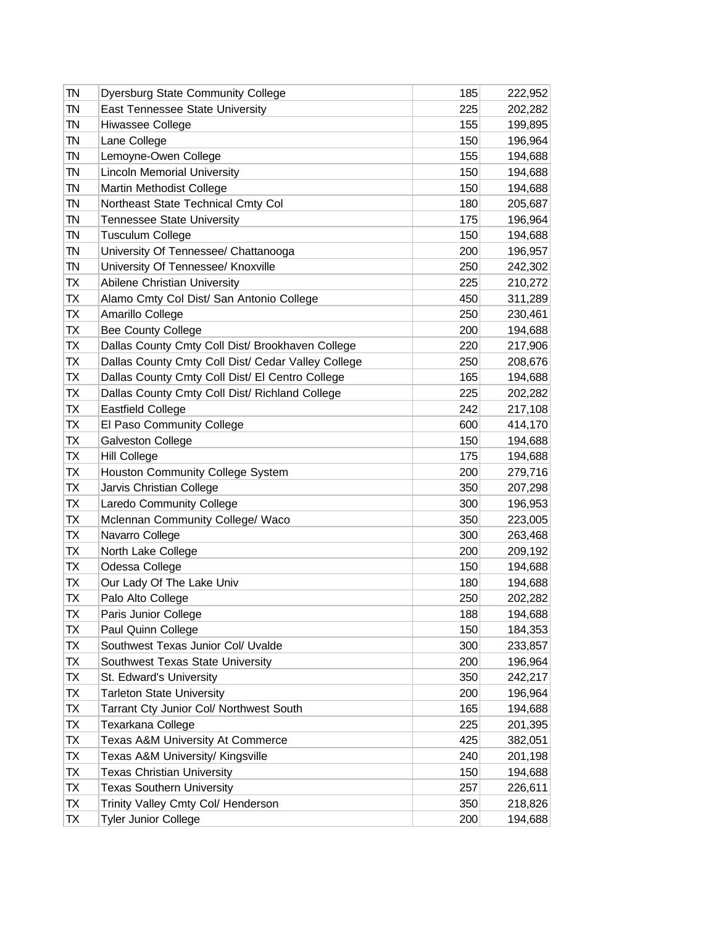| TN | <b>Dyersburg State Community College</b>           | 185 | 222,952 |
|----|----------------------------------------------------|-----|---------|
| TN | East Tennessee State University                    | 225 | 202,282 |
| TN | Hiwassee College                                   | 155 | 199,895 |
| TN | Lane College                                       | 150 | 196,964 |
| TN | Lemoyne-Owen College                               | 155 | 194,688 |
| TN | <b>Lincoln Memorial University</b>                 | 150 | 194,688 |
| TN | Martin Methodist College                           | 150 | 194,688 |
| TN | Northeast State Technical Cmty Col                 | 180 | 205,687 |
| TN | <b>Tennessee State University</b>                  | 175 | 196,964 |
| TN | <b>Tusculum College</b>                            | 150 | 194,688 |
| TN | University Of Tennessee/ Chattanooga               | 200 | 196,957 |
| TN | University Of Tennessee/ Knoxville                 | 250 | 242,302 |
| ТX | Abilene Christian University                       | 225 | 210,272 |
| ТX | Alamo Cmty Col Dist/ San Antonio College           | 450 | 311,289 |
| TX | Amarillo College                                   | 250 | 230,461 |
| ТX | <b>Bee County College</b>                          | 200 | 194,688 |
| ТX | Dallas County Cmty Coll Dist/ Brookhaven College   | 220 | 217,906 |
| ТX | Dallas County Cmty Coll Dist/ Cedar Valley College | 250 | 208,676 |
| TX | Dallas County Cmty Coll Dist/ El Centro College    | 165 | 194,688 |
| ТX | Dallas County Cmty Coll Dist/ Richland College     | 225 | 202,282 |
| TX | Eastfield College                                  | 242 | 217,108 |
| ТX | El Paso Community College                          | 600 | 414,170 |
| TX | Galveston College                                  | 150 | 194,688 |
| ТX | <b>Hill College</b>                                | 175 | 194,688 |
| ТX | Houston Community College System                   | 200 | 279,716 |
| ТX | Jarvis Christian College                           | 350 | 207,298 |
| TX | Laredo Community College                           | 300 | 196,953 |
| ТX | Mclennan Community College/ Waco                   | 350 | 223,005 |
| ТX | Navarro College                                    | 300 | 263,468 |
| ТX | North Lake College                                 | 200 | 209,192 |
| TX | Odessa College                                     | 150 | 194,688 |
| ТX | Our Lady Of The Lake Univ                          | 180 | 194,688 |
| TX | Palo Alto College                                  | 250 | 202,282 |
| ТX | Paris Junior College                               | 188 | 194,688 |
| ТX | Paul Quinn College                                 | 150 | 184,353 |
| ТX | Southwest Texas Junior Col/ Uvalde                 | 300 | 233,857 |
| ТX | Southwest Texas State University                   | 200 | 196,964 |
| ТX | St. Edward's University                            | 350 | 242,217 |
| TX | <b>Tarleton State University</b>                   | 200 | 196,964 |
| ТX | Tarrant Cty Junior Col/ Northwest South            | 165 | 194,688 |
| ТX | Texarkana College                                  | 225 | 201,395 |
| ТX | Texas A&M University At Commerce                   | 425 | 382,051 |
| TX | Texas A&M University/ Kingsville                   | 240 | 201,198 |
| ТX | <b>Texas Christian University</b>                  | 150 | 194,688 |
| ТX | <b>Texas Southern University</b>                   | 257 | 226,611 |
| ТX | Trinity Valley Cmty Col/ Henderson                 | 350 | 218,826 |
| ТX | <b>Tyler Junior College</b>                        | 200 | 194,688 |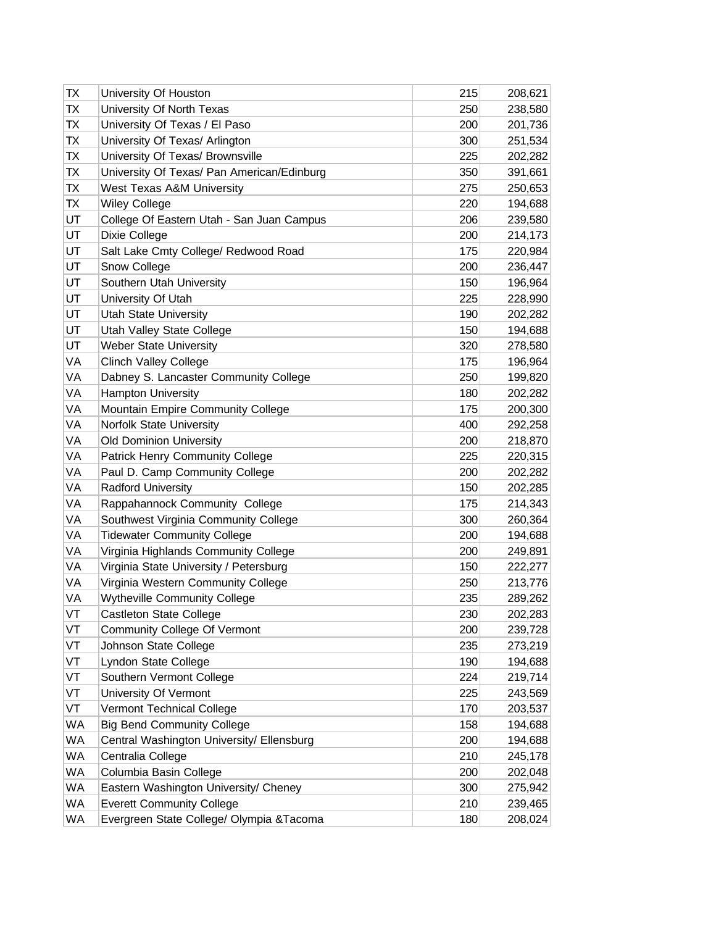| ТX        | University Of Houston                      | 215 | 208,621 |
|-----------|--------------------------------------------|-----|---------|
| ТX        | University Of North Texas                  | 250 | 238,580 |
| ТX        | University Of Texas / El Paso              | 200 | 201,736 |
| ТX        | University Of Texas/ Arlington             | 300 | 251,534 |
| ТX        | University Of Texas/ Brownsville           | 225 | 202,282 |
| ТX        | University Of Texas/ Pan American/Edinburg | 350 | 391,661 |
| ТX        | West Texas A&M University                  | 275 | 250,653 |
| ТX        | <b>Wiley College</b>                       | 220 | 194,688 |
| UT        | College Of Eastern Utah - San Juan Campus  | 206 | 239,580 |
| UT        | Dixie College                              | 200 | 214,173 |
| UT        | Salt Lake Cmty College/ Redwood Road       | 175 | 220,984 |
| UT        | Snow College                               | 200 | 236,447 |
| UT        | Southern Utah University                   | 150 | 196,964 |
| UT        | University Of Utah                         | 225 | 228,990 |
| UT        | <b>Utah State University</b>               | 190 | 202,282 |
| UT        | Utah Valley State College                  | 150 | 194,688 |
| UT        | <b>Weber State University</b>              | 320 | 278,580 |
| VA        | <b>Clinch Valley College</b>               | 175 | 196,964 |
| VA        | Dabney S. Lancaster Community College      | 250 | 199,820 |
| VA        | <b>Hampton University</b>                  | 180 | 202,282 |
| VA        | Mountain Empire Community College          | 175 | 200,300 |
| VA        | Norfolk State University                   | 400 | 292,258 |
| VA        | <b>Old Dominion University</b>             | 200 | 218,870 |
| VA        | Patrick Henry Community College            | 225 | 220,315 |
| VA        | Paul D. Camp Community College             | 200 | 202,282 |
| VA        | <b>Radford University</b>                  | 150 | 202,285 |
| VA        | Rappahannock Community College             | 175 | 214,343 |
| VA        | Southwest Virginia Community College       | 300 | 260,364 |
| VA        | <b>Tidewater Community College</b>         | 200 | 194,688 |
| VA        | Virginia Highlands Community College       | 200 | 249,891 |
| VA        | Virginia State University / Petersburg     | 150 | 222,277 |
| VA        | Virginia Western Community College         | 250 | 213,776 |
| VA        | <b>Wytheville Community College</b>        | 235 | 289,262 |
| VT        | <b>Castleton State College</b>             | 230 | 202,283 |
| VT        | <b>Community College Of Vermont</b>        | 200 | 239,728 |
| VT        | Johnson State College                      | 235 | 273,219 |
| VT        | Lyndon State College                       | 190 | 194,688 |
| VT        | Southern Vermont College                   | 224 | 219,714 |
| VT        | University Of Vermont                      | 225 | 243,569 |
| VT        | Vermont Technical College                  | 170 | 203,537 |
| WA        | <b>Big Bend Community College</b>          | 158 | 194,688 |
| WA        | Central Washington University/ Ellensburg  | 200 | 194,688 |
| <b>WA</b> | Centralia College                          | 210 | 245,178 |
| WA        | Columbia Basin College                     | 200 | 202,048 |
| <b>WA</b> | Eastern Washington University/ Cheney      | 300 | 275,942 |
| WA        | <b>Everett Community College</b>           | 210 | 239,465 |
| WA        | Evergreen State College/ Olympia & Tacoma  | 180 | 208,024 |